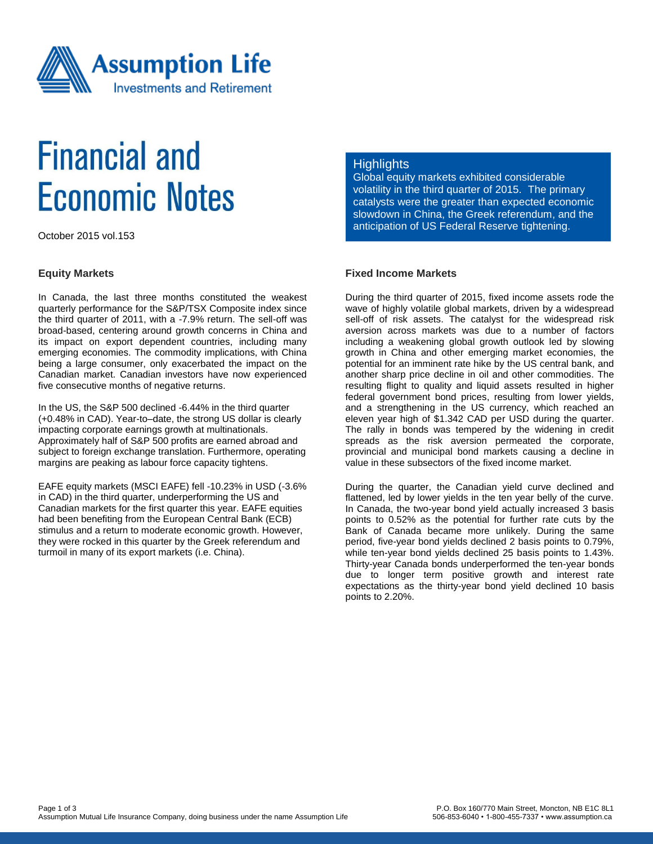

# **Financial and Economic Notes**

October 2015 vol.153

#### **Equity Markets**

In Canada, the last three months constituted the weakest quarterly performance for the S&P/TSX Composite index since the third quarter of 2011, with a -7.9% return. The sell-off was broad-based, centering around growth concerns in China and its impact on export dependent countries, including many emerging economies. The commodity implications, with China being a large consumer, only exacerbated the impact on the Canadian market. Canadian investors have now experienced five consecutive months of negative returns.

In the US, the S&P 500 declined -6.44% in the third quarter (+0.48% in CAD). Year-to–date, the strong US dollar is clearly impacting corporate earnings growth at multinationals. Approximately half of S&P 500 profits are earned abroad and subject to foreign exchange translation. Furthermore, operating margins are peaking as labour force capacity tightens.

EAFE equity markets (MSCI EAFE) fell -10.23% in USD (-3.6% in CAD) in the third quarter, underperforming the US and Canadian markets for the first quarter this year. EAFE equities had been benefiting from the European Central Bank (ECB) stimulus and a return to moderate economic growth. However, they were rocked in this quarter by the Greek referendum and turmoil in many of its export markets (i.e. China).

### **Highlights**

Global equity markets exhibited considerable volatility in the third quarter of 2015. The primary catalysts were the greater than expected economic slowdown in China, the Greek referendum, and the anticipation of US Federal Reserve tightening.

## **Fixed Income Markets**

During the third quarter of 2015, fixed income assets rode the wave of highly volatile global markets, driven by a widespread sell-off of risk assets. The catalyst for the widespread risk aversion across markets was due to a number of factors including a weakening global growth outlook led by slowing growth in China and other emerging market economies, the potential for an imminent rate hike by the US central bank, and another sharp price decline in oil and other commodities. The resulting flight to quality and liquid assets resulted in higher federal government bond prices, resulting from lower yields, and a strengthening in the US currency, which reached an eleven year high of \$1.342 CAD per USD during the quarter. The rally in bonds was tempered by the widening in credit spreads as the risk aversion permeated the corporate, provincial and municipal bond markets causing a decline in value in these subsectors of the fixed income market.

During the quarter, the Canadian yield curve declined and flattened, led by lower yields in the ten year belly of the curve. In Canada, the two-year bond yield actually increased 3 basis points to 0.52% as the potential for further rate cuts by the Bank of Canada became more unlikely. During the same period, five-year bond yields declined 2 basis points to 0.79%, while ten-year bond yields declined 25 basis points to 1.43%. Thirty-year Canada bonds underperformed the ten-year bonds due to longer term positive growth and interest rate expectations as the thirty-year bond yield declined 10 basis points to 2.20%.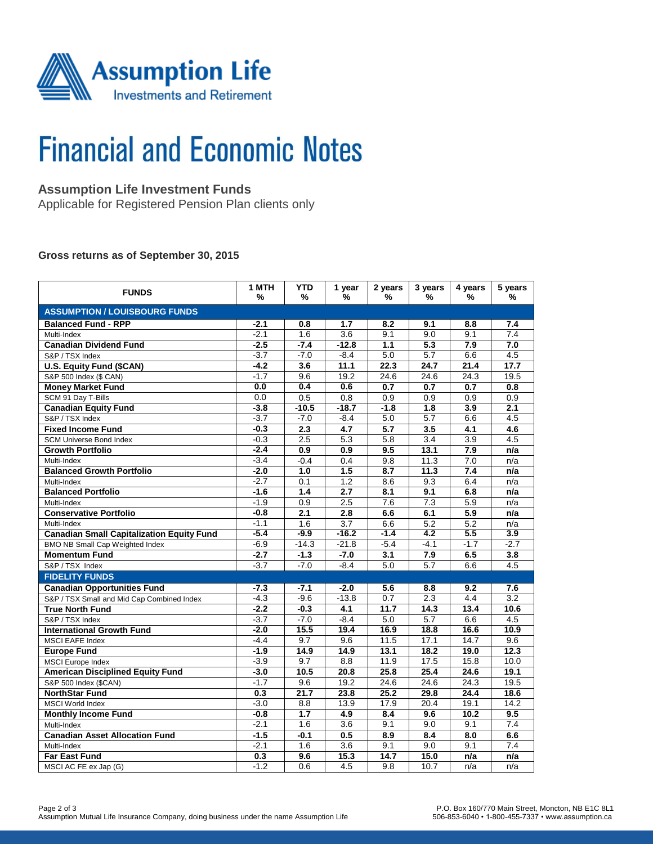

# **Financial and Economic Notes**

# **Assumption Life Investment Funds**

Applicable for Registered Pension Plan clients only

#### **Gross returns as of September 30, 2015**

| <b>FUNDS</b>                                     | 1 MTH<br>% | <b>YTD</b><br>%   | 1 year<br>%      | 2 years<br>%     | 3 years<br>%     | 4 years<br>%     | 5 years<br>%     |  |  |  |  |
|--------------------------------------------------|------------|-------------------|------------------|------------------|------------------|------------------|------------------|--|--|--|--|
| <b>ASSUMPTION / LOUISBOURG FUNDS</b>             |            |                   |                  |                  |                  |                  |                  |  |  |  |  |
| <b>Balanced Fund - RPP</b>                       | $-2.1$     | 0.8               | 1.7              | 8.2              | 9.1              | 8.8              | 7.4              |  |  |  |  |
| Multi-Index                                      | $-2.1$     | $\overline{1.6}$  | $\overline{3.6}$ | 9.1              | 9.0              | 9.1              | $\overline{7.4}$ |  |  |  |  |
| <b>Canadian Dividend Fund</b>                    | $-2.5$     | $-7.4$            | $-12.8$          | 1.1              | $\overline{5.3}$ | 7.9              | 7.0              |  |  |  |  |
| S&P / TSX Index                                  | $-3.7$     | $-7.0$            | $-8.4$           | 5.0              | $\overline{5.7}$ | 6.6              | 4.5              |  |  |  |  |
| U.S. Equity Fund (\$CAN)                         | $-4.2$     | 3.6               | 11.1             | 22.3             | 24.7             | 21.4             | 17.7             |  |  |  |  |
| S&P 500 Index (\$ CAN)                           | $-1.7$     | 9.6               | 19.2             | 24.6             | 24.6             | 24.3             | 19.5             |  |  |  |  |
| <b>Money Market Fund</b>                         | 0.0        | 0.4               | 0.6              | 0.7              | 0.7              | 0.7              | 0.8              |  |  |  |  |
| SCM 91 Day T-Bills                               | 0.0        | 0.5               | 0.8              | 0.9              | 0.9              | 0.9              | 0.9              |  |  |  |  |
| <b>Canadian Equity Fund</b>                      | $-3.8$     | $-10.5$           | $-18.7$          | $-1.8$           | 1.8              | 3.9              | 2.1              |  |  |  |  |
| S&P / TSX Index                                  | $-3.7$     | $-7.0$            | $-8.4$           | 5.0              | 5.7              | 6.6              | 4.5              |  |  |  |  |
| <b>Fixed Income Fund</b>                         | $-0.3$     | $\overline{2.3}$  | $\overline{4.7}$ | $\overline{5.7}$ | 3.5              | 4.1              | 4.6              |  |  |  |  |
| <b>SCM Universe Bond Index</b>                   | $-0.3$     | 2.5               | 5.3              | 5.8              | 3.4              | 3.9              | 4.5              |  |  |  |  |
| <b>Growth Portfolio</b>                          | $-2.4$     | 0.9               | 0.9              | 9.5              | 13.1             | 7.9              | n/a              |  |  |  |  |
| Multi-Index                                      | $-3.4$     | $-0.4$            | 0.4              | 9.8              | 11.3             | 7.0              | n/a              |  |  |  |  |
| <b>Balanced Growth Portfolio</b>                 | $-2.0$     | 1.0               | 1.5              | 8.7              | 11.3             | 7.4              | n/a              |  |  |  |  |
| Multi-Index                                      | $-2.7$     | 0.1               | 1.2              | 8.6              | 9.3              | 6.4              | n/a              |  |  |  |  |
| <b>Balanced Portfolio</b>                        | $-1.6$     | 1.4               | 2.7              | 8.1              | 9.1              | 6.8              | n/a              |  |  |  |  |
| Multi-Index                                      | $-1.9$     | 0.9               | 2.5              | 7.6              | 7.3              | 5.9              | n/a              |  |  |  |  |
| <b>Conservative Portfolio</b>                    | $-0.8$     | 2.1               | 2.8              | 6.6              | 6.1              | 5.9              | n/a              |  |  |  |  |
| Multi-Index                                      | $-1.1$     | 1.6               | $\overline{3.7}$ | 6.6              | 5.2              | 5.2              | n/a              |  |  |  |  |
| <b>Canadian Small Capitalization Equity Fund</b> | $-5.4$     | $-9.9$            | $-16.2$          | $-1.4$           | $\overline{4.2}$ | $\overline{5.5}$ | 3.9              |  |  |  |  |
| BMO NB Small Cap Weighted Index                  | $-6.9$     | $-14.3$           | $-21.8$          | $-5.4$           | $-4.1$           | $-1.7$           | $-2.7$           |  |  |  |  |
| <b>Momentum Fund</b>                             | $-2.7$     | $-1.3$            | -7.0             | 3.1              | 7.9              | 6.5              | 3.8              |  |  |  |  |
| S&P / TSX Index                                  | $-3.7$     | $-7.0$            | $-8.4$           | 5.0              | 5.7              | 6.6              | $\overline{4.5}$ |  |  |  |  |
| <b>FIDELITY FUNDS</b>                            |            |                   |                  |                  |                  |                  |                  |  |  |  |  |
| <b>Canadian Opportunities Fund</b>               | $-7.3$     | $-7.1$            | $-2.0$           | 5.6              | 8.8              | 9.2              | 7.6              |  |  |  |  |
| S&P / TSX Small and Mid Cap Combined Index       | $-4.3$     | $-9.6$            | $-13.8$          | 0.7              | 2.3              | 4.4              | 3.2              |  |  |  |  |
| <b>True North Fund</b>                           | $-2.2$     | $-0.3$            | 4.1              | 11.7             | 14.3             | 13.4             | 10.6             |  |  |  |  |
| S&P / TSX Index                                  | $-3.7$     | $-7.0$            | $-8.4$           | 5.0              | 5.7              | 6.6              | 4.5              |  |  |  |  |
| <b>International Growth Fund</b>                 | $-2.0$     | 15.5              | 19.4             | 16.9             | 18.8             | 16.6             | 10.9             |  |  |  |  |
| <b>MSCI EAFE Index</b>                           | $-4.4$     | 9.7               | 9.6              | 11.5             | 17.1             | 14.7             | 9.6              |  |  |  |  |
| <b>Europe Fund</b>                               | $-1.9$     | 14.9              | 14.9             | 13.1             | 18.2             | 19.0             | 12.3             |  |  |  |  |
| <b>MSCI</b> Europe Index                         | $-3.9$     | 9.7               | 8.8              | 11.9             | 17.5             | 15.8             | 10.0             |  |  |  |  |
| <b>American Disciplined Equity Fund</b>          | $-3.0$     | 10.5              | 20.8             | 25.8             | 25.4             | 24.6             | 19.1             |  |  |  |  |
| S&P 500 Index (\$CAN)                            | $-1.7$     | 9.6               | 19.2             | 24.6             | 24.6             | 24.3             | 19.5             |  |  |  |  |
| <b>NorthStar Fund</b>                            | 0.3        | $\overline{21.7}$ | 23.8             | 25.2             | 29.8             | 24.4             | 18.6             |  |  |  |  |
| <b>MSCI World Index</b>                          | $-3.0$     | 8.8               | 13.9             | 17.9             | 20.4             | 19.1             | 14.2             |  |  |  |  |
| <b>Monthly Income Fund</b>                       | $-0.8$     | 1.7               | 4.9              | 8.4              | 9.6              | 10.2             | 9.5              |  |  |  |  |
| Multi-Index                                      | $-2.1$     | 1.6               | 3.6              | 9.1              | 9.0              | 9.1              | 7.4              |  |  |  |  |
| <b>Canadian Asset Allocation Fund</b>            | $-1.5$     | $-0.1$            | 0.5              | 8.9              | 8.4              | $\overline{8.0}$ | 6.6              |  |  |  |  |
| Multi-Index                                      | $-2.1$     | 1.6               | 3.6              | 9.1              | 9.0              | 9.1              | 7.4              |  |  |  |  |
| <b>Far East Fund</b>                             | 0.3        | 9.6               | 15.3             | 14.7             | 15.0             | n/a              | n/a              |  |  |  |  |
| MSCI AC FE ex Jap (G)                            | $-1.2$     | 0.6               | 4.5              | 9.8              | 10.7             | n/a              | n/a              |  |  |  |  |